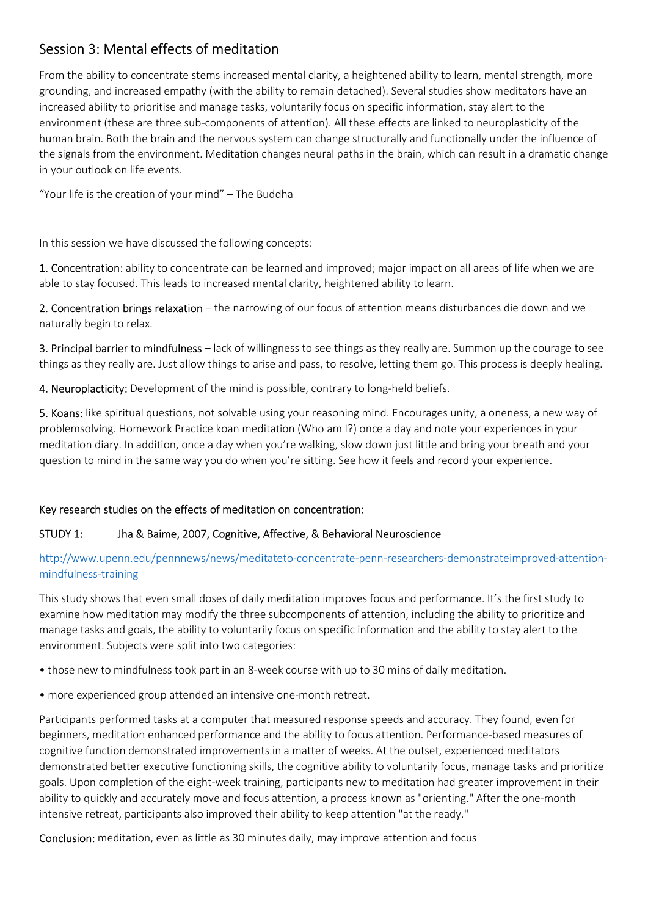# Session 3: Mental effects of meditation

From the ability to concentrate stems increased mental clarity, a heightened ability to learn, mental strength, more grounding, and increased empathy (with the ability to remain detached). Several studies show meditators have an increased ability to prioritise and manage tasks, voluntarily focus on specific information, stay alert to the environment (these are three sub-components of attention). All these effects are linked to neuroplasticity of the human brain. Both the brain and the nervous system can change structurally and functionally under the influence of the signals from the environment. Meditation changes neural paths in the brain, which can result in a dramatic change in your outlook on life events.

"Your life is the creation of your mind" – The Buddha

In this session we have discussed the following concepts:

1. Concentration: ability to concentrate can be learned and improved; major impact on all areas of life when we are able to stay focused. This leads to increased mental clarity, heightened ability to learn.

2. Concentration brings relaxation – the narrowing of our focus of attention means disturbances die down and we naturally begin to relax.

3. Principal barrier to mindfulness – lack of willingness to see things as they really are. Summon up the courage to see things as they really are. Just allow things to arise and pass, to resolve, letting them go. This process is deeply healing.

4. Neuroplacticity: Development of the mind is possible, contrary to long-held beliefs.

5. Koans: like spiritual questions, not solvable using your reasoning mind. Encourages unity, a oneness, a new way of problemsolving. Homework Practice koan meditation (Who am I?) once a day and note your experiences in your meditation diary. In addition, once a day when you're walking, slow down just little and bring your breath and your question to mind in the same way you do when you're sitting. See how it feels and record your experience.

### Key research studies on the effects of meditation on concentration:

### STUDY 1: Jha & Baime, 2007, Cognitive, Affective, & Behavioral Neuroscience

http://www.upenn.edu/pennnews/news/meditateto-concentrate-penn-researchers-demonstrateimproved-attentionmindfulness-training

This study shows that even small doses of daily meditation improves focus and performance. It's the first study to examine how meditation may modify the three subcomponents of attention, including the ability to prioritize and manage tasks and goals, the ability to voluntarily focus on specific information and the ability to stay alert to the environment. Subjects were split into two categories:

- those new to mindfulness took part in an 8-week course with up to 30 mins of daily meditation.
- more experienced group attended an intensive one-month retreat.

Participants performed tasks at a computer that measured response speeds and accuracy. They found, even for beginners, meditation enhanced performance and the ability to focus attention. Performance-based measures of cognitive function demonstrated improvements in a matter of weeks. At the outset, experienced meditators demonstrated better executive functioning skills, the cognitive ability to voluntarily focus, manage tasks and prioritize goals. Upon completion of the eight-week training, participants new to meditation had greater improvement in their ability to quickly and accurately move and focus attention, a process known as "orienting." After the one-month intensive retreat, participants also improved their ability to keep attention "at the ready."

Conclusion: meditation, even as little as 30 minutes daily, may improve attention and focus